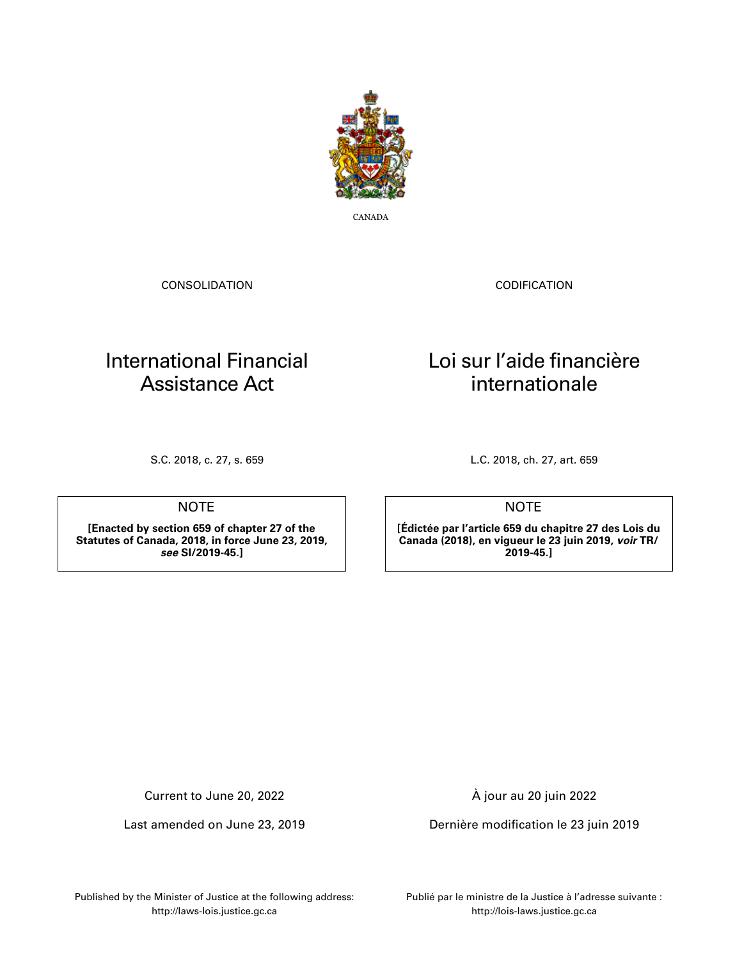

CANADA

CONSOLIDATION

CODIFICATION

Loi sur l'aide financière internationale

# International Financial Assistance Act

**NOTE** 

**[Enacted by section 659 of chapter 27 of the Statutes of Canada, 2018, in force June 23, 2019,** *see* **SI/2019-45.]**

S.C. 2018, c. 27, s. 659 L.C. 2018, ch. 27, art. 659

NOTE

**[Édictée par l'article 659 du chapitre 27 des Lois du Canada (2018), en vigueur le 23 juin 2019,** *voir* **TR/ 2019-45.]**

Current to June 20, 2022

Last amended on June 23, 2019

À jour au 20 juin 2022

Dernière modification le 23 juin 2019

Published by the Minister of Justice at the following address: http://laws-lois.justice.gc.ca

Publié par le ministre de la Justice à l'adresse suivante : http://lois-laws.justice.gc.ca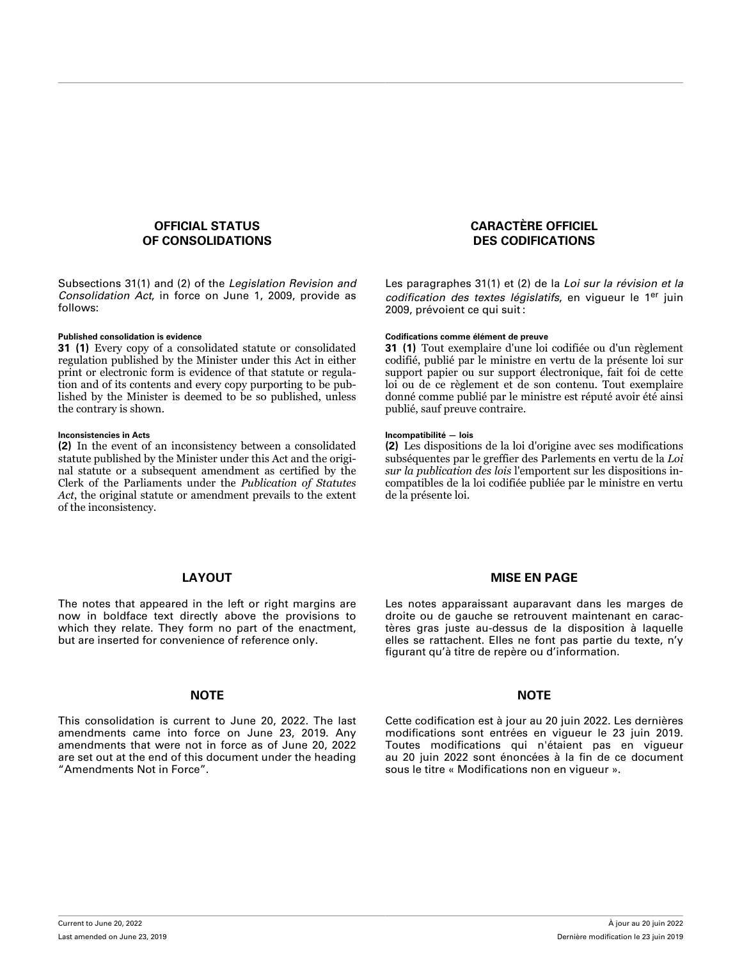### **OFFICIAL STATUS OF CONSOLIDATIONS**

Subsections 31(1) and (2) of the *Legislation Revision and Consolidation Act*, in force on June 1, 2009, provide as follows:

**31 (1)** Every copy of a consolidated statute or consolidated regulation published by the Minister under this Act in either print or electronic form is evidence of that statute or regulation and of its contents and every copy purporting to be published by the Minister is deemed to be so published, unless the contrary is shown.

### **Inconsistencies in Acts Incompatibilité — lois**

**(2)** In the event of an inconsistency between a consolidated statute published by the Minister under this Act and the original statute or a subsequent amendment as certified by the Clerk of the Parliaments under the *Publication of Statutes Act*, the original statute or amendment prevails to the extent of the inconsistency.

## **CARACTÈRE OFFICIEL DES CODIFICATIONS**

Les paragraphes 31(1) et (2) de la *Loi sur la révision et la codification des textes législatifs*, en vigueur le 1er juin 2009, prévoient ce qui suit :

### **Published consolidation is evidence Codifications comme élément de preuve**

**31 (1)** Tout exemplaire d'une loi codifiée ou d'un règlement codifié, publié par le ministre en vertu de la présente loi sur support papier ou sur support électronique, fait foi de cette loi ou de ce règlement et de son contenu. Tout exemplaire donné comme publié par le ministre est réputé avoir été ainsi publié, sauf preuve contraire.

**(2)** Les dispositions de la loi d'origine avec ses modifications subséquentes par le greffier des Parlements en vertu de la *Loi sur la publication des lois* l'emportent sur les dispositions incompatibles de la loi codifiée publiée par le ministre en vertu de la présente loi.

## **LAYOUT**

The notes that appeared in the left or right margins are now in boldface text directly above the provisions to which they relate. They form no part of the enactment, but are inserted for convenience of reference only.

### **NOTE NOTE**

This consolidation is current to June 20, 2022. The last amendments came into force on June 23, 2019. Any amendments that were not in force as of June 20, 2022 are set out at the end of this document under the heading "Amendments Not in Force".

### **MISE EN PAGE**

Les notes apparaissant auparavant dans les marges de droite ou de gauche se retrouvent maintenant en caractères gras juste au-dessus de la disposition à laquelle elles se rattachent. Elles ne font pas partie du texte, n'y figurant qu'à titre de repère ou d'information.

Cette codification est à jour au 20 juin 2022. Les dernières modifications sont entrées en vigueur le 23 juin 2019. Toutes modifications qui n'étaient pas en vigueur au 20 juin 2022 sont énoncées à la fin de ce document sous le titre « Modifications non en vigueur ».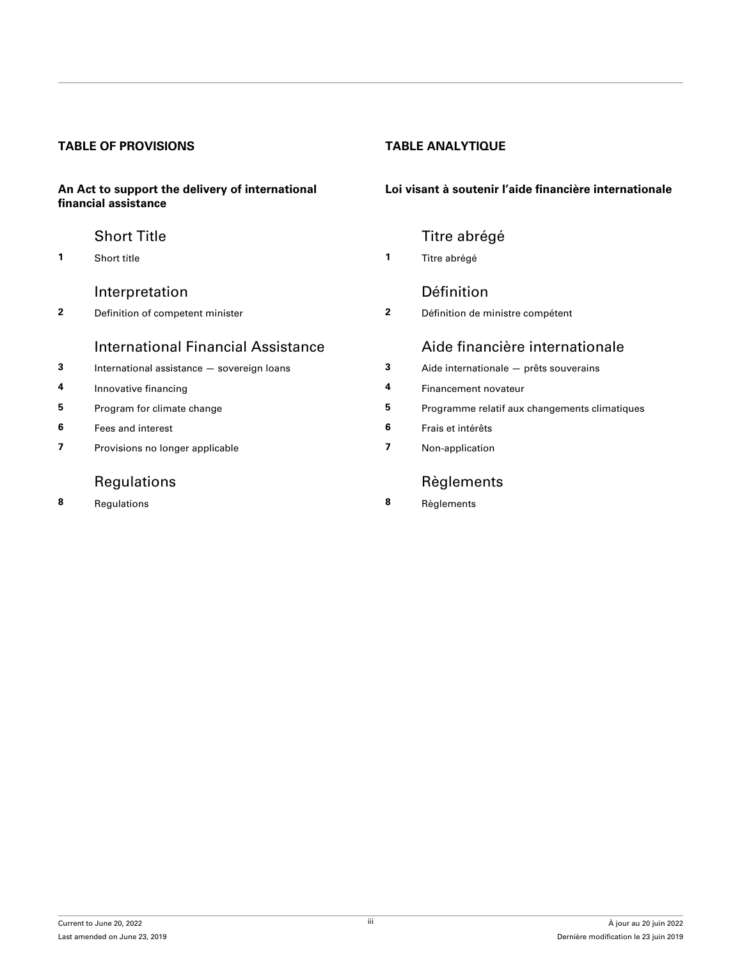# **TABLE OF PROVISIONS TABLE ANALYTIQUE**

### **An Act to support the delivery of international financial assistance**

**1** [Short title](#page-3-0) **1** [Titre abrégé](#page-3-0)

# [Interpretation](#page-3-0) **[Définition](#page-3-0)**

**2** [Definition of competent minister](#page-3-0) **2** [Définition de ministre compétent](#page-3-0)

# International Financial Assistance [Aide financière internationale](#page-3-0)

- **3** [International assistance sovereign loans](#page-3-0)
- **4** [Innovative financing](#page-4-0)
- **5** [Program for climate change](#page-5-0)
- **6** [Fees and interest](#page-5-0)
- **7** [Provisions no longer applicable](#page-5-0)

# [Regulations](#page-5-0)

**8** [Regulations](#page-5-0) **8** [Règlements](#page-5-0)

## **Loi visant à soutenir l'aide financière internationale**

# [Short Title](#page-3-0) **Title Title Short Title** [Titre abrégé](#page-3-0)

| 3 | Aide internationale - prêts souverains        |
|---|-----------------------------------------------|
| 4 | Financement novateur                          |
| 5 | Programme relatif aux changements climatiques |
| 6 | Frais et intérêts                             |
| 7 | Non-application                               |
|   | Règlements                                    |

Current to June 20, 2022 Last amended on June 23, 2019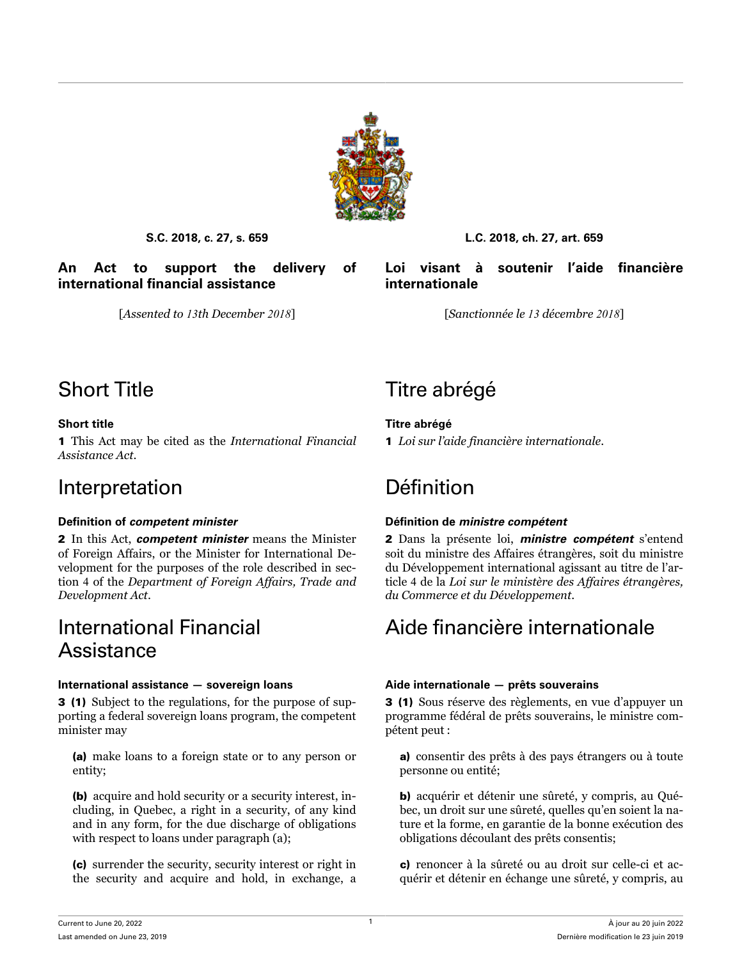

<span id="page-3-0"></span>**An Act to support the delivery of international financial assistance**

# **S.C. 2018, c. 27, s. 659 L.C. 2018, ch. 27, art. 659**

**Loi visant à soutenir l'aide financière internationale**

[*Assented to 13th December 2018*] [*Sanctionnée le 13 décembre 2018*]

1 This Act may be cited as the *International Financial Assistance Act*.

# Interpretation Définition

2 In this Act, *competent minister* means the Minister of Foreign Affairs, or the Minister for International Development for the purposes of the role described in section 4 of the *Department of Foreign Affairs, Trade and Development Act*.

# International Financial **Assistance**

# **International assistance — sovereign loans Aide internationale — prêts souverains**

3 (1) Subject to the regulations, for the purpose of supporting a federal sovereign loans program, the competent minister may

(a) make loans to a foreign state or to any person or entity;

(b) acquire and hold security or a security interest, including, in Quebec, a right in a security, of any kind and in any form, for the due discharge of obligations with respect to loans under paragraph (a);

(c) surrender the security, security interest or right in the security and acquire and hold, in exchange, a

# Short Title Titre abrégé

# **Short title Titre abrégé**

1 *Loi sur l'aide financière internationale*.

# **Definition of** *competent minister* **Définition de** *ministre compétent*

2 Dans la présente loi, *ministre compétent* s'entend soit du ministre des Affaires étrangères, soit du ministre du Développement international agissant au titre de l'article 4 de la *Loi sur le ministère des Affaires étrangères, du Commerce et du Développement*.

# Aide financière internationale

3 (1) Sous réserve des règlements, en vue d'appuyer un programme fédéral de prêts souverains, le ministre compétent peut :

a) consentir des prêts à des pays étrangers ou à toute personne ou entité;

b) acquérir et détenir une sûreté, y compris, au Québec, un droit sur une sûreté, quelles qu'en soient la nature et la forme, en garantie de la bonne exécution des obligations découlant des prêts consentis;

c) renoncer à la sûreté ou au droit sur celle-ci et acquérir et détenir en échange une sûreté, y compris, au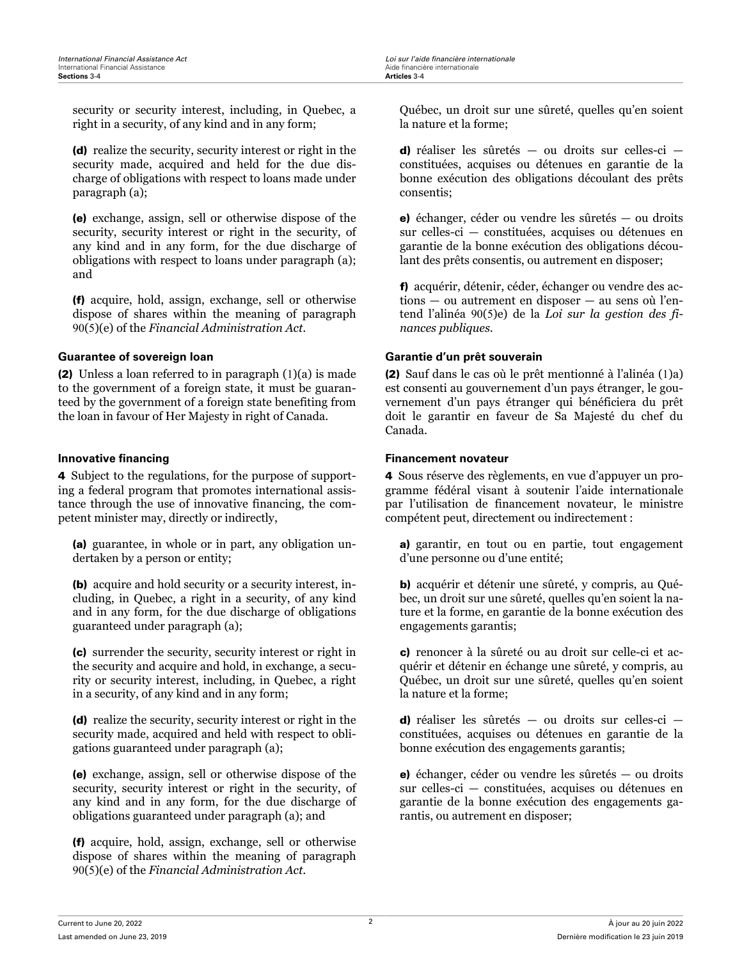<span id="page-4-0"></span>security or security interest, including, in Quebec, a right in a security, of any kind and in any form;

(d) realize the security, security interest or right in the security made, acquired and held for the due discharge of obligations with respect to loans made under paragraph (a);

(e) exchange, assign, sell or otherwise dispose of the security, security interest or right in the security, of any kind and in any form, for the due discharge of obligations with respect to loans under paragraph (a); and

(f) acquire, hold, assign, exchange, sell or otherwise dispose of shares within the meaning of paragraph 90(5)(e) of the *Financial Administration Act*.

(2) Unless a loan referred to in paragraph  $(1)(a)$  is made to the government of a foreign state, it must be guaranteed by the government of a foreign state benefiting from the loan in favour of Her Majesty in right of Canada.

4 Subject to the regulations, for the purpose of supporting a federal program that promotes international assistance through the use of innovative financing, the competent minister may, directly or indirectly,

(a) guarantee, in whole or in part, any obligation undertaken by a person or entity;

(b) acquire and hold security or a security interest, including, in Quebec, a right in a security, of any kind and in any form, for the due discharge of obligations guaranteed under paragraph (a);

(c) surrender the security, security interest or right in the security and acquire and hold, in exchange, a security or security interest, including, in Quebec, a right in a security, of any kind and in any form;

(d) realize the security, security interest or right in the security made, acquired and held with respect to obligations guaranteed under paragraph (a);

(e) exchange, assign, sell or otherwise dispose of the security, security interest or right in the security, of any kind and in any form, for the due discharge of obligations guaranteed under paragraph (a); and

(f) acquire, hold, assign, exchange, sell or otherwise dispose of shares within the meaning of paragraph 90(5)(e) of the *Financial Administration Act*.

Québec, un droit sur une sûreté, quelles qu'en soient la nature et la forme;

d) réaliser les sûretés — ou droits sur celles-ci constituées, acquises ou détenues en garantie de la bonne exécution des obligations découlant des prêts consentis;

e) échanger, céder ou vendre les sûretés — ou droits sur celles-ci — constituées, acquises ou détenues en garantie de la bonne exécution des obligations découlant des prêts consentis, ou autrement en disposer;

f) acquérir, détenir, céder, échanger ou vendre des actions — ou autrement en disposer — au sens où l'entend l'alinéa 90(5)e) de la *Loi sur la gestion des finances publiques*.

## **Guarantee of sovereign loan Garantie d'un prêt souverain**

(2) Sauf dans le cas où le prêt mentionné à l'alinéa (1)a) est consenti au gouvernement d'un pays étranger, le gouvernement d'un pays étranger qui bénéficiera du prêt doit le garantir en faveur de Sa Majesté du chef du Canada.

### **Innovative financing the set of the set of the set of the set of the set of the set of the set of the set of the set of the set of the set of the set of the set of the set of the set of the set of the set of the set of th**

4 Sous réserve des règlements, en vue d'appuyer un programme fédéral visant à soutenir l'aide internationale par l'utilisation de financement novateur, le ministre compétent peut, directement ou indirectement :

a) garantir, en tout ou en partie, tout engagement d'une personne ou d'une entité;

b) acquérir et détenir une sûreté, y compris, au Québec, un droit sur une sûreté, quelles qu'en soient la nature et la forme, en garantie de la bonne exécution des engagements garantis;

c) renoncer à la sûreté ou au droit sur celle-ci et acquérir et détenir en échange une sûreté, y compris, au Québec, un droit sur une sûreté, quelles qu'en soient la nature et la forme;

d) réaliser les sûretés — ou droits sur celles-ci constituées, acquises ou détenues en garantie de la bonne exécution des engagements garantis;

e) échanger, céder ou vendre les sûretés — ou droits sur celles-ci — constituées, acquises ou détenues en garantie de la bonne exécution des engagements garantis, ou autrement en disposer;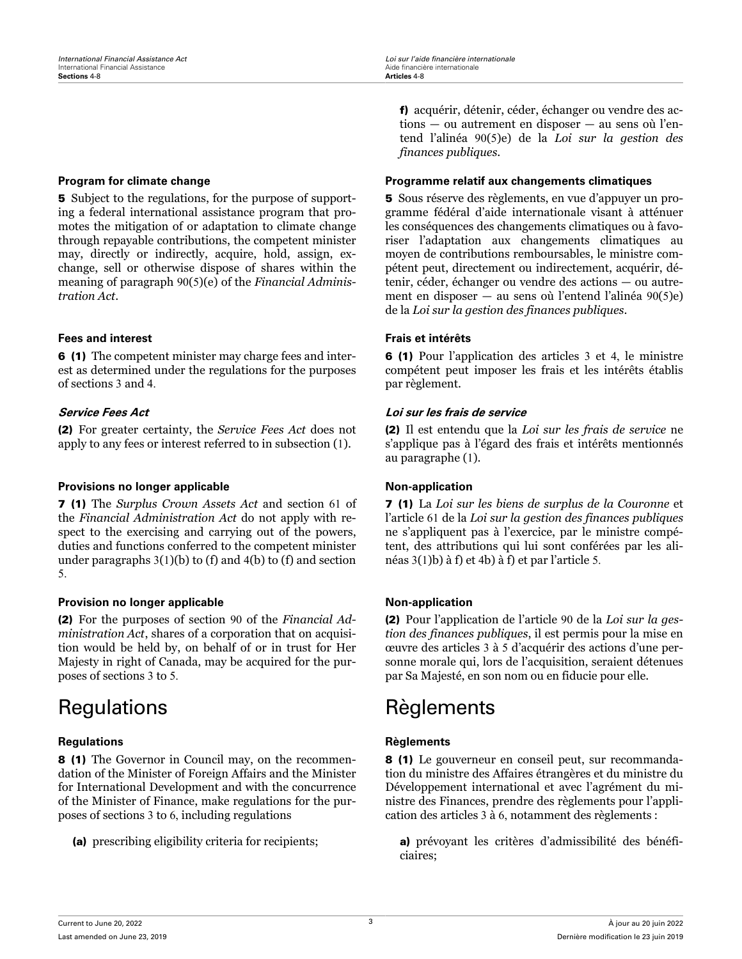5 Subject to the regulations, for the purpose of supporting a federal international assistance program that promotes the mitigation of or adaptation to climate change through repayable contributions, the competent minister may, directly or indirectly, acquire, hold, assign, exchange, sell or otherwise dispose of shares within the meaning of paragraph 90(5)(e) of the *Financial Administration Act*.

## **Fees and interest Frais et intérêts**

6 (1) The competent minister may charge fees and interest as determined under the regulations for the purposes of sections 3 and 4.

(2) For greater certainty, the *Service Fees Act* does not apply to any fees or interest referred to in subsection (1).

### **Provisions no longer applicable <b>Non-application Non-application**

7 (1) The *Surplus Crown Assets Act* and section 61 of the *Financial Administration Act* do not apply with respect to the exercising and carrying out of the powers, duties and functions conferred to the competent minister under paragraphs  $3(1)(b)$  to (f) and  $4(b)$  to (f) and section 5.

### **Provision no longer applicable <b>Non-application Non-application**

(2) For the purposes of section 90 of the *Financial Administration Act*, shares of a corporation that on acquisition would be held by, on behalf of or in trust for Her Majesty in right of Canada, may be acquired for the purposes of sections 3 to 5.

## **Regulations Règlements**

8 (1) The Governor in Council may, on the recommendation of the Minister of Foreign Affairs and the Minister for International Development and with the concurrence of the Minister of Finance, make regulations for the purposes of sections 3 to 6, including regulations

(a) prescribing eligibility criteria for recipients;

f) acquérir, détenir, céder, échanger ou vendre des actions — ou autrement en disposer — au sens où l'entend l'alinéa 90(5)e) de la *Loi sur la gestion des finances publiques*.

### <span id="page-5-0"></span>**Program for climate change Programme relatif aux changements climatiques**

5 Sous réserve des règlements, en vue d'appuyer un programme fédéral d'aide internationale visant à atténuer les conséquences des changements climatiques ou à favoriser l'adaptation aux changements climatiques au moyen de contributions remboursables, le ministre compétent peut, directement ou indirectement, acquérir, détenir, céder, échanger ou vendre des actions — ou autrement en disposer — au sens où l'entend l'alinéa 90(5)e) de la *Loi sur la gestion des finances publiques*.

6 (1) Pour l'application des articles 3 et 4, le ministre compétent peut imposer les frais et les intérêts établis par règlement.

## **Service Fees Act Loi sur les frais de service**

(2) Il est entendu que la *Loi sur les frais de service* ne s'applique pas à l'égard des frais et intérêts mentionnés au paragraphe (1).

7 (1) La *Loi sur les biens de surplus de la Couronne* et l'article 61 de la *Loi sur la gestion des finances publiques* ne s'appliquent pas à l'exercice, par le ministre compétent, des attributions qui lui sont conférées par les alinéas 3(1)b) à f) et 4b) à f) et par l'article 5.

(2) Pour l'application de l'article 90 de la *Loi sur la gestion des finances publiques*, il est permis pour la mise en œuvre des articles 3 à 5 d'acquérir des actions d'une personne morale qui, lors de l'acquisition, seraient détenues par Sa Majesté, en son nom ou en fiducie pour elle.

# Regulations Règlements

8 (1) Le gouverneur en conseil peut, sur recommandation du ministre des Affaires étrangères et du ministre du Développement international et avec l'agrément du ministre des Finances, prendre des règlements pour l'application des articles 3 à 6, notamment des règlements :

a) prévoyant les critères d'admissibilité des bénéficiaires;